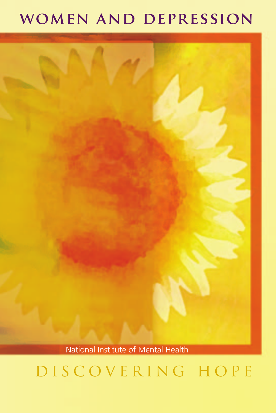# **women and depression**



National Institute of Mental Health

discovering hope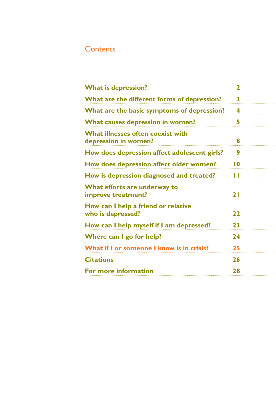# **Contents**

| <b>What is depression?</b>                                | $\mathbf 2$ |
|-----------------------------------------------------------|-------------|
| What are the different forms of depression?               | 3           |
| What are the basic symptoms of depression?                | 4           |
| <b>What causes depression in women?</b>                   | 5           |
| What illnesses often coexist with<br>depression in women? | 8           |
| How does depression affect adolescent girls?              | 9           |
| How does depression affect older women?                   | 10          |
| How is depression diagnosed and treated?                  | ш           |
| What efforts are underway to<br>improve treatment?        | 21          |
| How can I help a friend or relative<br>who is depressed?  | 22          |
| How can I help myself if I am depressed?                  | 23          |
| Where can I go for help?                                  | 24          |
| What if I or someone I know is in crisis?                 | 25          |
| <b>Citations</b>                                          | 26          |
| <b>For more information</b>                               | 28          |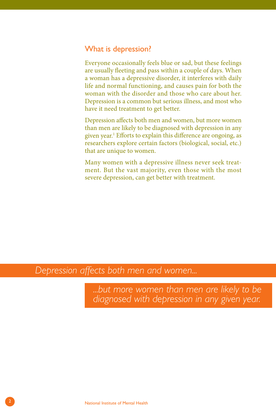## What is depression?

Everyone occasionally feels blue or sad, but these feelings are usually fleeting and pass within a couple of days. When a woman has a depressive disorder, it interferes with daily life and normal functioning, and causes pain for both the woman with the disorder and those who care about her. Depression is a common but serious illness, and most who have it need treatment to get better.

Depression affects both men and women, but more women than men are likely to be diagnosed with depression in any given year.<sup>1</sup> Efforts to explain this difference are ongoing, as researchers explore certain factors (biological, social, etc.) that are unique to women.

Many women with a depressive illness never seek treatment. But the vast majority, even those with the most severe depression, can get better with treatment.

# *Depression affects both men and women...*

*...but more women than men are likely to be diagnosed with depression in any given year.*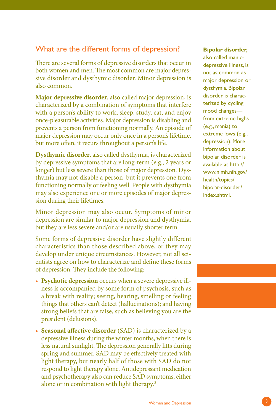## What are the different forms of depression?

There are several forms of depressive disorders that occur in both women and men. The most common are major depressive disorder and dysthymic disorder. Minor depression is also common.

**Major depressive disorder**, also called major depression, is characterized by a combination of symptoms that interfere with a person's ability to work, sleep, study, eat, and enjoy once-pleasurable activities. Major depression is disabling and prevents a person from functioning normally. An episode of major depression may occur only once in a person's lifetime, but more often, it recurs throughout a person's life.

**Dysthymic disorder**, also called dysthymia, is characterized by depressive symptoms that are long-term (e.g., 2 years or longer) but less severe than those of major depression. Dysthymia may not disable a person, but it prevents one from functioning normally or feeling well. People with dysthymia may also experience one or more episodes of major depression during their lifetimes.

Minor depression may also occur. Symptoms of minor depression are similar to major depression and dysthymia, but they are less severe and/or are usually shorter term.

Some forms of depressive disorder have slightly different characteristics than those described above, or they may develop under unique circumstances. However, not all scientists agree on how to characterize and define these forms of depression. They include the following:

- • **Psychotic depression** occurs when a severe depressive illness is accompanied by some form of psychosis, such as a break with reality; seeing, hearing, smelling or feeling things that others can't detect (hallucinations); and having strong beliefs that are false, such as believing you are the president (delusions).
- Seasonal affective disorder (SAD) is characterized by a depressive illness during the winter months, when there is less natural sunlight. The depression generally lifts during spring and summer. SAD may be effectively treated with light therapy, but nearly half of those with SAD do not respond to light therapy alone. Antidepressant medication and psychotherapy also can reduce SAD symptoms, either alone or in combination with light therapy.<sup>2</sup>

**Bipolar disorder,** 

also called manicdepressive illness, is not as common as major depression or dysthymia. Bipolar disorder is characterized by cycling mood changes from extreme highs (e.g., mania) to extreme lows (e.g., depression). More information about bipolar disorder is available at http:// www.nimh.nih.gov/ health/topics/ bipolar-disorder/ index.shtml.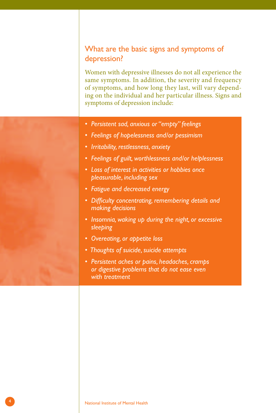# What are the basic signs and symptoms of depression?

Women with depressive illnesses do not all experience the same symptoms. In addition, the severity and frequency of symptoms, and how long they last, will vary depending on the individual and her particular illness. Signs and symptoms of depression include:

- *Persistent sad, anxious or "empty" feelings*
- *Feelings of hopelessness and/or pessimism*
- *Irritability, restlessness, anxiety*
- *Feelings of guilt, worthlessness and/or helplessness*
- *Loss of interest in activities or hobbies once pleasurable, including sex*
- *Fatigue and decreased energy*
- *Difficulty concentrating, remembering details and making decisions*
- *Insomnia, waking up during the night, or excessive sleeping*
- *Overeating, or appetite loss*
- *Thoughts of suicide, suicide attempts*
- *Persistent aches or pains, headaches, cramps or digestive problems that do not ease even with treatment*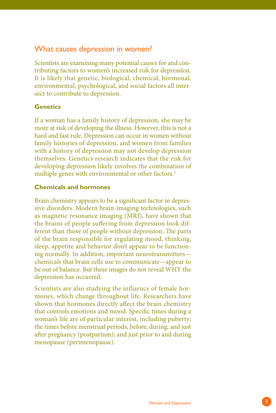## What causes depression in women?

Scientists are examining many potential causes for and contributing factors to women's increased risk for depression. It is likely that genetic, biological, chemical, hormonal, environmental, psychological, and social factors all intersect to contribute to depression.

#### **Genetics**

If a woman has a family history of depression, she may be more at risk of developing the illness. However, this is not a hard and fast rule. Depression can occur in women without family histories of depression, and women from families with a history of depression may not develop depression themselves. Genetics research indicates that the risk for developing depression likely involves the combination of multiple genes with environmental or other factors.<sup>3</sup>

#### **Chemicals and hormones**

Brain chemistry appears to be a significant factor in depressive disorders. Modern brain-imaging technologies, such as magnetic resonance imaging (MRI), have shown that the brains of people suffering from depression look different than those of people without depression. The parts of the brain responsible for regulating mood, thinking, sleep, appetite and behavior don't appear to be functioning normally. In addition, important neurotransmitters chemicals that brain cells use to communicate—appear to be out of balance. But these images do not reveal WHY the depression has occurred.

Scientists are also studying the influence of female hormones, which change throughout life. Researchers have shown that hormones directly affect the brain chemistry that controls emotions and mood. Specific times during a woman's life are of particular interest, including puberty; the times before menstrual periods; before, during, and just after pregnancy (postpartum); and just prior to and during menopause (perimenopause).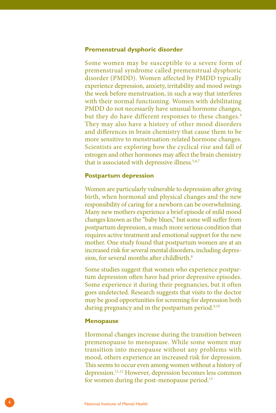#### **Premenstrual dysphoric disorder**

Some women may be susceptible to a severe form of premenstrual syndrome called premenstrual dysphoric disorder (PMDD). Women affected by PMDD typically experience depression, anxiety, irritability and mood swings the week before menstruation, in such a way that interferes with their normal functioning. Women with debilitating PMDD do not necessarily have unusual hormone changes, but they do have different responses to these changes.<sup>4</sup> They may also have a history of other mood disorders and differences in brain chemistry that cause them to be more sensitive to menstruation-related hormone changes. Scientists are exploring how the cyclical rise and fall of estrogen and other hormones may affect the brain chemistry that is associated with depressive illness.<sup>5,6,7</sup>

#### **Postpartum depression**

Women are particularly vulnerable to depression after giving birth, when hormonal and physical changes and the new responsibility of caring for a newborn can be overwhelming. Many new mothers experience a brief episode of mild mood changes known as the "baby blues," but some will suffer from postpartum depression, a much more serious condition that requires active treatment and emotional support for the new mother. One study found that postpartum women are at an increased risk for several mental disorders, including depression, for several months after childbirth.<sup>8</sup>

Some studies suggest that women who experience postpartum depression often have had prior depressive episodes. Some experience it during their pregnancies, but it often goes undetected. Research suggests that visits to the doctor may be good opportunities for screening for depression both during pregnancy and in the postpartum period.<sup>9,10</sup>

#### **Menopause**

Hormonal changes increase during the transition between premenopause to menopause. While some women may transition into menopause without any problems with mood, others experience an increased risk for depression. This seems to occur even among women without a history of depression.11,12 However, depression becomes less common for women during the post-menopause period.<sup>13</sup>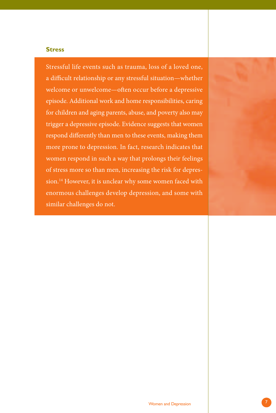#### **Stress**

Stressful life events such as trauma, loss of a loved one, a difficult relationship or any stressful situation—whether welcome or unwelcome—often occur before a depressive episode. Additional work and home responsibilities, caring for children and aging parents, abuse, and poverty also may trigger a depressive episode. Evidence suggests that women respond differently than men to these events, making them more prone to depression. In fact, research indicates that women respond in such a way that prolongs their feelings of stress more so than men, increasing the risk for depression.14 However, it is unclear why some women faced with enormous challenges develop depression, and some with similar challenges do not.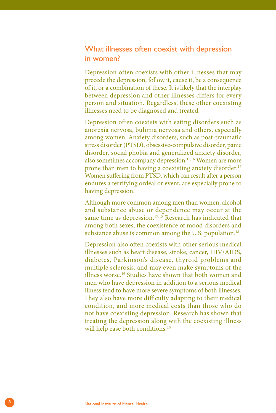# What illnesses often coexist with depression in women?

Depression often coexists with other illnesses that may precede the depression, follow it, cause it, be a consequence of it, or a combination of these. It is likely that the interplay between depression and other illnesses differs for every person and situation. Regardless, these other coexisting illnesses need to be diagnosed and treated.

Depression often coexists with eating disorders such as anorexia nervosa, bulimia nervosa and others, especially among women. Anxiety disorders, such as post-traumatic stress disorder (PTSD), obsessive-compulsive disorder, panic disorder, social phobia and generalized anxiety disorder, also sometimes accompany depression.<sup>15,16</sup> Women are more prone than men to having a coexisting anxiety disorder.17 Women suffering from PTSD, which can result after a person endures a terrifying ordeal or event, are especially prone to having depression.

Although more common among men than women, alcohol and substance abuse or dependence may occur at the same time as depression.<sup>17,15</sup> Research has indicated that among both sexes, the coexistence of mood disorders and substance abuse is common among the U.S. population.<sup>18</sup>

Depression also often coexists with other serious medical illnesses such as heart disease, stroke, cancer, HIV/AIDS, diabetes, Parkinson's disease, thyroid problems and multiple sclerosis, and may even make symptoms of the illness worse.<sup>19</sup> Studies have shown that both women and men who have depression in addition to a serious medical illness tend to have more severe symptoms of both illnesses. They also have more difficulty adapting to their medical condition, and more medical costs than those who do not have coexisting depression. Research has shown that treating the depression along with the coexisting illness will help ease both conditions.<sup>20</sup>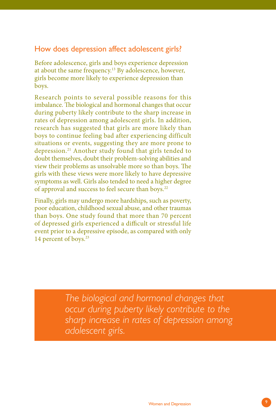## How does depression affect adolescent girls?

Before adolescence, girls and boys experience depression at about the same frequency.13 By adolescence, however, girls become more likely to experience depression than boys.

Research points to several possible reasons for this imbalance. The biological and hormonal changes that occur during puberty likely contribute to the sharp increase in rates of depression among adolescent girls. In addition, research has suggested that girls are more likely than boys to continue feeling bad after experiencing difficult situations or events, suggesting they are more prone to depression.21 Another study found that girls tended to doubt themselves, doubt their problem-solving abilities and view their problems as unsolvable more so than boys. The girls with these views were more likely to have depressive symptoms as well. Girls also tended to need a higher degree of approval and success to feel secure than boys.<sup>22</sup>

Finally, girls may undergo more hardships, such as poverty, poor education, childhood sexual abuse, and other traumas than boys. One study found that more than 70 percent of depressed girls experienced a difficult or stressful life event prior to a depressive episode, as compared with only 14 percent of boys.<sup>23</sup>

> *The biological and hormonal changes that occur during puberty likely contribute to the sharp increase in rates of depression among adolescent girls.*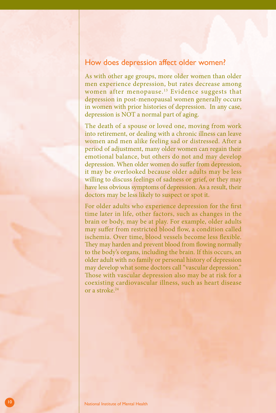## How does depression affect older women?

As with other age groups, more older women than older men experience depression, but rates decrease among women after menopause.<sup>13</sup> Evidence suggests that depression in post-menopausal women generally occurs in women with prior histories of depression. In any case, depression is NOT a normal part of aging.

The death of a spouse or loved one, moving from work into retirement, or dealing with a chronic illness can leave women and men alike feeling sad or distressed. After a period of adjustment, many older women can regain their emotional balance, but others do not and may develop depression. When older women do suffer from depression, it may be overlooked because older adults may be less willing to discuss feelings of sadness or grief, or they may have less obvious symptoms of depression. As a result, their doctors may be less likely to suspect or spot it.

For older adults who experience depression for the first time later in life, other factors, such as changes in the brain or body, may be at play. For example, older adults may suffer from restricted blood flow, a condition called ischemia. Over time, blood vessels become less flexible. They may harden and prevent blood from flowing normally to the body's organs, including the brain. If this occurs, an older adult with no family or personal history of depression may develop what some doctors call "vascular depression." Those with vascular depression also may be at risk for a coexisting cardiovascular illness, such as heart disease or a stroke.<sup>24</sup>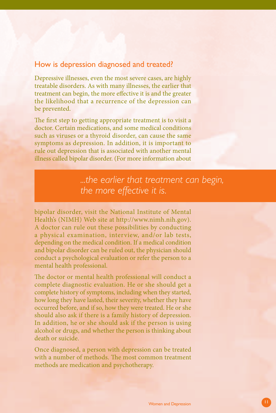## How is depression diagnosed and treated?

Depressive illnesses, even the most severe cases, are highly treatable disorders. As with many illnesses, the earlier that treatment can begin, the more effective it is and the greater the likelihood that a recurrence of the depression can be prevented.

The first step to getting appropriate treatment is to visit a doctor. Certain medications, and some medical conditions such as viruses or a thyroid disorder, can cause the same symptoms as depression. In addition, it is important to rule out depression that is associated with another mental illness called bipolar disorder. (For more information about

# *...the earlier that treatment can begin, the more effective it is.*

bipolar disorder, visit the National Institute of Mental Health's (NIMH) Web site at http://www.nimh.nih.gov). A doctor can rule out these possibilities by conducting a physical examination, interview, and/or lab tests, depending on the medical condition. If a medical condition and bipolar disorder can be ruled out, the physician should conduct a psychological evaluation or refer the person to a mental health professional.

The doctor or mental health professional will conduct a complete diagnostic evaluation. He or she should get a complete history of symptoms, including when they started, how long they have lasted, their severity, whether they have occurred before, and if so, how they were treated. He or she should also ask if there is a family history of depression. In addition, he or she should ask if the person is using alcohol or drugs, and whether the person is thinking about death or suicide.

Once diagnosed, a person with depression can be treated with a number of methods. The most common treatment methods are medication and psychotherapy.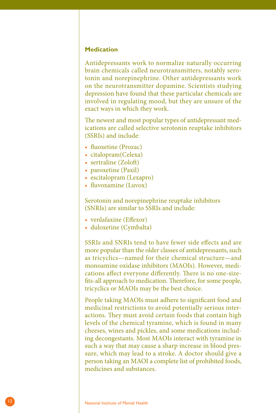#### **Medication**

Antidepressants work to normalize naturally occurring brain chemicals called neurotransmitters, notably serotonin and norepinephrine. Other antidepressants work on the neurotransmitter dopamine. Scientists studying depression have found that these particular chemicals are involved in regulating mood, but they are unsure of the exact ways in which they work.

The newest and most popular types of antidepressant medications are called selective serotonin reuptake inhibitors (SSRIs) and include:

- fluoxetine (Prozac)
- citalopram(Celexa)
- sertraline (Zoloft)
- paroxetine (Paxil)
- escitalopram (Lexapro)
- fluvoxamine (Luvox)

Serotonin and norepinephrine reuptake inhibitors (SNRIs) are similar to SSRIs and include:

- venlafaxine (Effexor)
- duloxetine (Cymbalta)

SSRIs and SNRIs tend to have fewer side effects and are more popular than the older classes of antidepressants, such as tricyclics—named for their chemical structure—and monoamine oxidase inhibitors (MAOIs). However, medications affect everyone differently. There is no one-sizefits-all approach to medication. Therefore, for some people, tricyclics or MAOIs may be the best choice.

People taking MAOIs must adhere to significant food and medicinal restrictions to avoid potentially serious interactions. They must avoid certain foods that contain high levels of the chemical tyramine, which is found in many cheeses, wines and pickles, and some medications including decongestants. Most MAOIs interact with tyramine in such a way that may cause a sharp increase in blood pressure, which may lead to a stroke. A doctor should give a person taking an MAOI a complete list of prohibited foods, medicines and substances.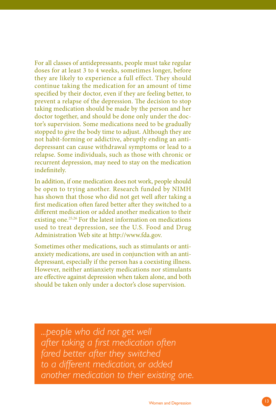For all classes of antidepressants, people must take regular doses for at least 3 to 4 weeks, sometimes longer, before they are likely to experience a full effect. They should continue taking the medication for an amount of time specified by their doctor, even if they are feeling better, to prevent a relapse of the depression. The decision to stop taking medication should be made by the person and her doctor together, and should be done only under the doctor's supervision. Some medications need to be gradually stopped to give the body time to adjust. Although they are not habit-forming or addictive, abruptly ending an antidepressant can cause withdrawal symptoms or lead to a relapse. Some individuals, such as those with chronic or recurrent depression, may need to stay on the medication indefinitely.

In addition, if one medication does not work, people should be open to trying another. Research funded by NIMH has shown that those who did not get well after taking a first medication often fared better after they switched to a different medication or added another medication to their existing one.<sup>25,26</sup> For the latest information on medications used to treat depression, see the U.S. Food and Drug Administration Web site at http://www.fda.gov.

Sometimes other medications, such as stimulants or antianxiety medications, are used in conjunction with an antidepressant, especially if the person has a coexisting illness. However, neither antianxiety medications nor stimulants are effective against depression when taken alone, and both should be taken only under a doctor's close supervision.

*...people who did not get well after taking a first medication often fared better after they switched to a different medication, or added another medication to their existing one.*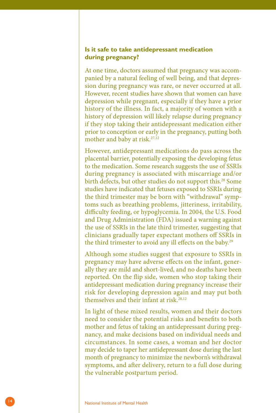#### **Is it safe to take antidepressant medication during pregnancy?**

At one time, doctors assumed that pregnancy was accompanied by a natural feeling of well being, and that depression during pregnancy was rare, or never occurred at all. However, recent studies have shown that women can have depression while pregnant, especially if they have a prior history of the illness. In fact, a majority of women with a history of depression will likely relapse during pregnancy if they stop taking their antidepressant medication either prior to conception or early in the pregnancy, putting both mother and baby at risk.27,12

However, antidepressant medications do pass across the placental barrier, potentially exposing the developing fetus to the medication. Some research suggests the use of SSRIs during pregnancy is associated with miscarriage and/or birth defects, but other studies do not support this.<sup>28</sup> Some studies have indicated that fetuses exposed to SSRIs during the third trimester may be born with "withdrawal" symptoms such as breathing problems, jitteriness, irritability, difficulty feeding, or hypoglycemia. In 2004, the U.S. Food and Drug Administration (FDA) issued a warning against the use of SSRIs in the late third trimester, suggesting that clinicians gradually taper expectant mothers off SSRIs in the third trimester to avoid any ill effects on the baby.<sup>29</sup>

Although some studies suggest that exposure to SSRIs in pregnancy may have adverse effects on the infant, generally they are mild and short-lived, and no deaths have been reported. On the flip side, women who stop taking their antidepressant medication during pregnancy increase their risk for developing depression again and may put both themselves and their infant at risk.<sup>28,12</sup>

In light of these mixed results, women and their doctors need to consider the potential risks and benefits to both mother and fetus of taking an antidepressant during pregnancy, and make decisions based on individual needs and circumstances. In some cases, a woman and her doctor may decide to taper her antidepressant dose during the last month of pregnancy to minimize the newborn's withdrawal symptoms, and after delivery, return to a full dose during the vulnerable postpartum period.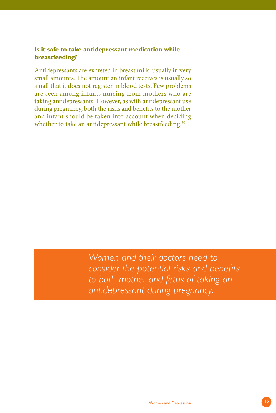#### **Is it safe to take antidepressant medication while breastfeeding?**

Antidepressants are excreted in breast milk, usually in very small amounts. The amount an infant receives is usually so small that it does not register in blood tests. Few problems are seen among infants nursing from mothers who are taking antidepressants. However, as with antidepressant use during pregnancy, both the risks and benefits to the mother and infant should be taken into account when deciding whether to take an antidepressant while breastfeeding.<sup>30</sup>

> *Women and their doctors need to consider the potential risks and benefits to both mother and fetus of taking an antidepressant during pregnancy...*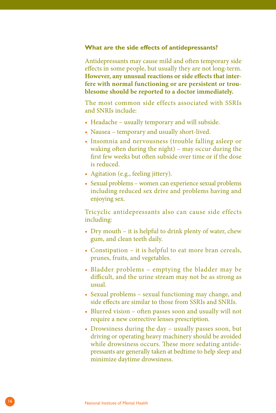#### **What are the side effects of antidepressants?**

Antidepressants may cause mild and often temporary side effects in some people, but usually they are not long-term. **However, any unusual reactions or side effects that interfere with normal functioning or are persistent or troublesome should be reported to a doctor immediately.** 

The most common side effects associated with SSRIs and SNRIs include:

- Headache usually temporary and will subside.
- Nausea temporary and usually short-lived.
- • Insomnia and nervousness (trouble falling asleep or waking often during the night) – may occur during the first few weeks but often subside over time or if the dose is reduced.
- • Agitation (e.g., feeling jittery).
- Sexual problems women can experience sexual problems including reduced sex drive and problems having and enjoying sex.

Tricyclic antidepressants also can cause side effects including:

- Dry mouth it is helpful to drink plenty of water, chew gum, and clean teeth daily.
- Constipation it is helpful to eat more bran cereals, prunes, fruits, and vegetables.
- • Bladder problems emptying the bladder may be difficult, and the urine stream may not be as strong as usual.
- Sexual problems sexual functioning may change, and side effects are similar to those from SSRIs and SNRIs.
- Blurred vision often passes soon and usually will not require a new corrective lenses prescription.
- Drowsiness during the day usually passes soon, but driving or operating heavy machinery should be avoided while drowsiness occurs. These more sedating antidepressants are generally taken at bedtime to help sleep and minimize daytime drowsiness.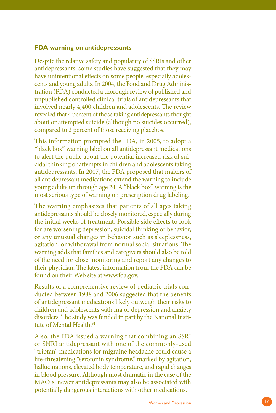#### **FDA warning on antidepressants**

Despite the relative safety and popularity of SSRIs and other antidepressants, some studies have suggested that they may have unintentional effects on some people, especially adolescents and young adults. In 2004, the Food and Drug Administration (FDA) conducted a thorough review of published and unpublished controlled clinical trials of antidepressants that involved nearly 4,400 children and adolescents. The review revealed that 4 percent of those taking antidepressants thought about or attempted suicide (although no suicides occurred), compared to 2 percent of those receiving placebos.

This information prompted the FDA, in 2005, to adopt a "black box" warning label on all antidepressant medications to alert the public about the potential increased risk of suicidal thinking or attempts in children and adolescents taking antidepressants. In 2007, the FDA proposed that makers of all antidepressant medications extend the warning to include young adults up through age 24. A "black box" warning is the most serious type of warning on prescription drug labeling.

The warning emphasizes that patients of all ages taking antidepressants should be closely monitored, especially during the initial weeks of treatment. Possible side effects to look for are worsening depression, suicidal thinking or behavior, or any unusual changes in behavior such as sleeplessness, agitation, or withdrawal from normal social situations. The warning adds that families and caregivers should also be told of the need for close monitoring and report any changes to their physician. The latest information from the FDA can be found on their Web site at www.fda.gov.

Results of a comprehensive review of pediatric trials conducted between 1988 and 2006 suggested that the benefits of antidepressant medications likely outweigh their risks to children and adolescents with major depression and anxiety disorders. The study was funded in part by the National Institute of Mental Health.<sup>31</sup>

Also, the FDA issued a warning that combining an SSRI or SNRI antidepressant with one of the commonly-used "triptan" medications for migraine headache could cause a life-threatening "serotonin syndrome," marked by agitation, hallucinations, elevated body temperature, and rapid changes in blood pressure. Although most dramatic in the case of the MAOIs, newer antidepressants may also be associated with potentially dangerous interactions with other medications.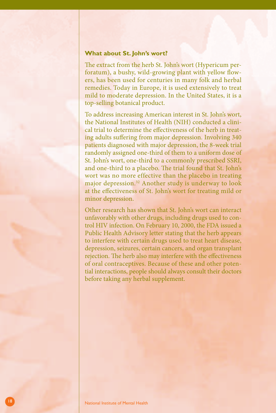#### **What about St. John's wort?**

The extract from the herb St. John's wort (Hypericum perforatum), a bushy, wild-growing plant with yellow flowers, has been used for centuries in many folk and herbal remedies. Today in Europe, it is used extensively to treat mild to moderate depression. In the United States, it is a top-selling botanical product.

To address increasing American interest in St. John's wort, the National Institutes of Health (NIH) conducted a clinical trial to determine the effectiveness of the herb in treating adults suffering from major depression. Involving 340 patients diagnosed with major depression, the 8-week trial randomly assigned one-third of them to a uniform dose of St. John's wort, one-third to a commonly prescribed SSRI, and one-third to a placebo. The trial found that St. John's wort was no more effective than the placebo in treating major depression.32 Another study is underway to look at the effectiveness of St. John's wort for treating mild or minor depression.

Other research has shown that St. John's wort can interact unfavorably with other drugs, including drugs used to control HIV infection. On February 10, 2000, the FDA issued a Public Health Advisory letter stating that the herb appears to interfere with certain drugs used to treat heart disease, depression, seizures, certain cancers, and organ transplant rejection. The herb also may interfere with the effectiveness of oral contraceptives. Because of these and other potential interactions, people should always consult their doctors before taking any herbal supplement.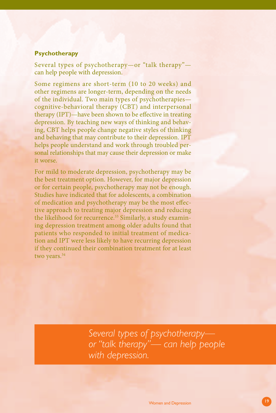#### **Psychotherapy**

Several types of psychotherapy—or "talk therapy" can help people with depression.

Some regimens are short-term (10 to 20 weeks) and other regimens are longer-term, depending on the needs of the individual. Two main types of psychotherapies cognitive-behavioral therapy (CBT) and interpersonal therapy (IPT)—have been shown to be effective in treating depression. By teaching new ways of thinking and behaving, CBT helps people change negative styles of thinking and behaving that may contribute to their depression. IPT helps people understand and work through troubled personal relationships that may cause their depression or make it worse.

For mild to moderate depression, psychotherapy may be the best treatment option. However, for major depression or for certain people, psychotherapy may not be enough. Studies have indicated that for adolescents, a combination of medication and psychotherapy may be the most effective approach to treating major depression and reducing the likelihood for recurrence.<sup>33</sup> Similarly, a study examining depression treatment among older adults found that patients who responded to initial treatment of medication and IPT were less likely to have recurring depression if they continued their combination treatment for at least two years.<sup>34</sup>

> *Several types of psychotherapy or "talk therapy"— can help people with depression.*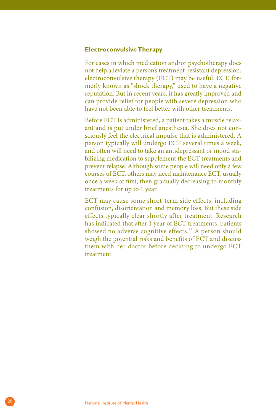#### **Electroconvulsive Therapy**

For cases in which medication and/or psychotherapy does not help alleviate a person's treatment-resistant depression, electroconvulsive therapy (ECT) may be useful. ECT, formerly known as "shock therapy," used to have a negative reputation. But in recent years, it has greatly improved and can provide relief for people with severe depression who have not been able to feel better with other treatments.

Before ECT is administered, a patient takes a muscle relaxant and is put under brief anesthesia. She does not consciously feel the electrical impulse that is administered. A person typically will undergo ECT several times a week, and often will need to take an antidepressant or mood stabilizing medication to supplement the ECT treatments and prevent relapse. Although some people will need only a few courses of ECT, others may need maintenance ECT, usually once a week at first, then gradually decreasing to monthly treatments for up to 1 year.

ECT may cause some short-term side effects, including confusion, disorientation and memory loss. But these side effects typically clear shortly after treatment. Research has indicated that after 1 year of ECT treatments, patients showed no adverse cognitive effects.<sup>35</sup> A person should weigh the potential risks and benefits of ECT and discuss them with her doctor before deciding to undergo ECT treatment.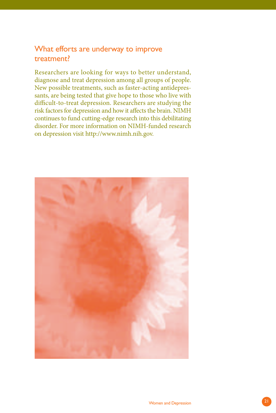## What efforts are underway to improve treatment?

Researchers are looking for ways to better understand, diagnose and treat depression among all groups of people. New possible treatments, such as faster-acting antidepressants, are being tested that give hope to those who live with difficult-to-treat depression. Researchers are studying the risk factors for depression and how it affects the brain. NIMH continues to fund cutting-edge research into this debilitating disorder. For more information on NIMH-funded research on depression visit http://www.nimh.nih.gov.

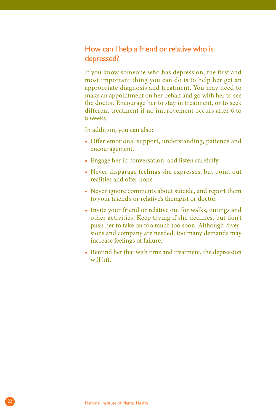## How can I help a friend or relative who is depressed?

If you know someone who has depression, the first and most important thing you can do is to help her get an appropriate diagnosis and treatment. You may need to make an appointment on her behalf and go with her to see the doctor. Encourage her to stay in treatment, or to seek different treatment if no improvement occurs after 6 to 8 weeks.

In addition, you can also:

- • Offer emotional support, understanding, patience and encouragement.
- • Engage her in conversation, and listen carefully.
- • Never disparage feelings she expresses, but point out realities and offer hope.
- Never ignore comments about suicide, and report them to your friend's or relative's therapist or doctor.
- • Invite your friend or relative out for walks, outings and other activities. Keep trying if she declines, but don't push her to take on too much too soon. Although diversions and company are needed, too many demands may increase feelings of failure.
- Remind her that with time and treatment, the depression will lift.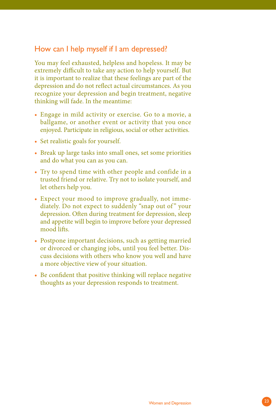## How can I help myself if I am depressed?

You may feel exhausted, helpless and hopeless. It may be extremely difficult to take any action to help yourself. But it is important to realize that these feelings are part of the depression and do not reflect actual circumstances. As you recognize your depression and begin treatment, negative thinking will fade. In the meantime:

- • Engage in mild activity or exercise. Go to a movie, a ballgame, or another event or activity that you once enjoyed. Participate in religious, social or other activities.
- • Set realistic goals for yourself.
- • Break up large tasks into small ones, set some priorities and do what you can as you can.
- • Try to spend time with other people and confide in a trusted friend or relative. Try not to isolate yourself, and let others help you.
- • Expect your mood to improve gradually, not immediately. Do not expect to suddenly "snap out of " your depression. Often during treatment for depression, sleep and appetite will begin to improve before your depressed mood lifts.
- Postpone important decisions, such as getting married or divorced or changing jobs, until you feel better. Discuss decisions with others who know you well and have a more objective view of your situation.
- • Be confident that positive thinking will replace negative thoughts as your depression responds to treatment.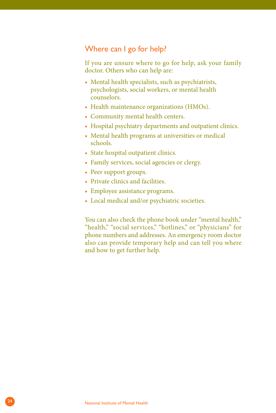## Where can I go for help?

If you are unsure where to go for help, ask your family doctor. Others who can help are:

- • Mental health specialists, such as psychiatrists, psychologists, social workers, or mental health counselors.
- Health maintenance organizations (HMOs).
- • Community mental health centers.
- Hospital psychiatry departments and outpatient clinics.
- • Mental health programs at universities or medical schools.
- • State hospital outpatient clinics.
- • Family services, social agencies or clergy.
- Peer support groups.
- Private clinics and facilities.
- • Employee assistance programs.
- • Local medical and/or psychiatric societies.

You can also check the phone book under "mental health," "health," "social services," "hotlines," or "physicians" for phone numbers and addresses. An emergency room doctor also can provide temporary help and can tell you where and how to get further help.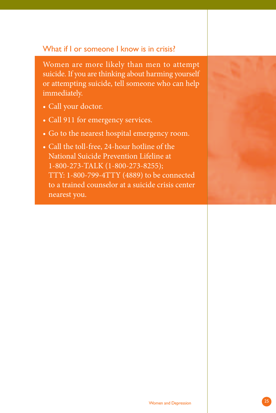## What if I or someone I know is in crisis?

Women are more likely than men to attempt suicide. If you are thinking about harming yourself or attempting suicide, tell someone who can help immediately.

- Call your doctor.
- Call 911 for emergency services.
- Go to the nearest hospital emergency room.
- Call the toll-free, 24-hour hotline of the National Suicide Prevention Lifeline at 1-800-273-TALK (1-800-273-8255); TTY: 1-800-799-4TTY (4889) to be connected to a trained counselor at a suicide crisis center nearest you.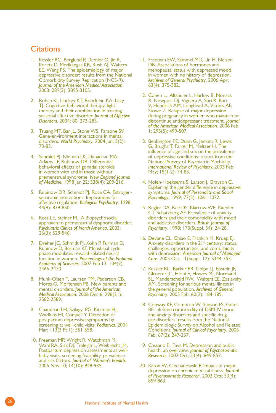## **Citations**

- Kessler RC, Berglund P, Demler O, Jin R, Koretz D, Merikangas KR, Rush AJ, Walters EE, Wang PS. The epidemiology of major depressive disorder: results from the National Comorbidity Survey Replication (NCS-R). *Journal of the American Medical Association*. 2003; 289(3): 3095-3105.
- 2. Rohan KJ, Lindsey KT, Roecklein KA, Lacy TJ. Cognitive-behavioral therapy, light therapy and their combination in treating seasonal affective disorder. *Journal of Affective Disorders*. 2004; 80: 273-283.
- 3. Tsuang MT, Bar JL, Stone WS, Faraone SV. Gene-environment interactions in mental disorders. *World Psychiatry*. 2004 Jun; 3(2): 73-83.
- 4. Schmidt PJ, Nieman LK, Danaceau MA, Adams LF, Rubinow DR. Differential behavioral effects of gonadal steroids in women with and in those without premenstrual syndrome. *New England Journal of Medicine*. 1998 Jan 22; 338(4): 209-216.
- 5. Rubinow DR, Schmidt PJ, Roca CA. Estrogenserotonin interactions: Implications for affective regulation. *Biological Psychiatry*. 1998; 44(9): 839-850.
- 6. Ross LE, Steiner M. A Biopsychosocial approach to premenstrual dysphoric disorder. *Psychiatric Clinics of North America*. 2003;  $26(3): 529 - 546.$
- 7. Dreher JC, Schmidt PJ, Kohn P, Furman D, Rubinow D, Berman KF. Menstrual cycle phase modulates reward-related neural function in women. *Proceedings of the National Academy of Sciences*. 2007 Feb 13; 104(7): 2465-2470.
- 8. Munk-Olsen T, Laursen TM, Pederson CB, Mores O, Mortensen PB. New parents and mental disorders. *Journal of the American Medical Association*. 2006 Dec 6; 296(21): 2582-2589.
- 9. Chaudron LH, Szilagyi PG, Kitzman HJ, Wadkins HI, Conwell Y. Detection of postpartum depressive symptoms by screening at well-child visits. *Pediatrics*. 2004 Mar; 113(3 Pt 1): 551-558.
- 10. Freeman MP, Wright R, Watchman M, Wahl RA, Sisk DJ, Fraleigh L, Weibrecht JM. Postpartum depression assessments at wellbaby visits: screening feasibility, prevalence and risk factors. *Journal of Women's Health*. 2005 Nov 10; 14(10): 929-935.
- 11. Freeman EW, Sammel MD, Lin H, Nelson DB. Associations of hormones and menopausal status with depressed mood in women with no history of depression. *Archives of General Psychiatry*. 2006 Apr; 63(4): 375-382.
- 12. Cohen L, Altshuler L, Harlow B, Nonacs R, Newport DJ, Viguera A, Suri R, Burt V, Hendrick AM, Loughead A, Vitonis AF, Stowe Z. Relapse of major depression during pregnancy in women who maintain or discontinue antidepressant treatment. *Journal of the American Medical Association*. 2006 Feb 1; 295(5): 499-507.
- 13. Bebbington PE, Dunn G, Jenkins R, Lewis G, Brugha T, Farrell M, Meltzer H. The influence of age and sex on the prevalence of depressive conditions: report from the National Survey of Psychiatric Morbidity. *International Review of Psychiatry.* 2003 Feb-May; 15(1-2): 74-83.
- 14. Nolen-Hoeksema S, Larson J, Grayson C. Explaining the gender difference in depressive symptoms. *Journal of Personality and Social Psychology*. 1999; 77(5): 1061-1072.
- 15. Regier DA, Rae DS, Narrow WE, Kaebler CT, Schatzberg AF. Prevalence of anxiety disorders and their comorbidity with mood and addictive disorders. *British Journal of Psychiatry*. 1998; 173(Suppl. 34): 24-28.
- 16. Devane CL, Chiao E, Franklin M, Kruep EJ. Anxiety disorders in the 21<sup>st</sup> century: status, challenges, opportunities, and comorbidity with depression. *American Journal of Managed Care*. 2005 Oct; 11(Suppl. 12): S344-353.
- 17. Kessler RC, Barker PR, Colpe LJ, Epstein JF, Gfroerer JC, Hiripi E, Howes MJ, Normand SL, Manderscheid RW, Walters EE, Zaslavsky AM. Screening for serious mental illness in the general population. *Archives of General Psychiatry*. 2003 Feb; 60(2): 184-189.
- 18. Conway KP, Compton W, Stinson FS, Grant BF. Lifetime comorbidity of DSM-IV mood and anxiety disorders and specific drug use disorders: results from the National Epidemiologic Survey on Alcohol and Related Conditions*. Journal of Clinical Psychiatry*. 2006 Feb; 67(2): 247-257.
- 19. Cassano P, Fava M. Depression and public health, an overview. *Journal of Psychosomatic Research*. 2002 Oct; 53(4): 849-857.
- 20. Katon W, Ciechanowski P. Impact of major depression on chronic medical illness. *Journal of Psychosomatic Research*. 2002 Oct; 53(4): 859-863.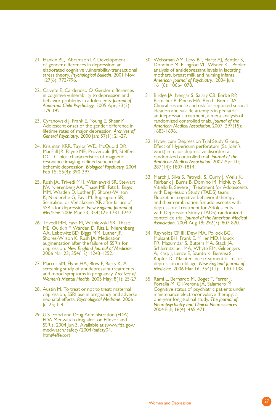- 21. Hankin BL, Abramson LY. Development of gender differences in depression: an elaborated cognitive vulnerability-transactional stress theory. *Psychological Bulletin*. 2001 Nov; 127(6): 773-796.
- 22. Calvete E, Cardenoso O. Gender differences in cognitive vulnerability to depression and behavior problems in adolescents*. Journal of Abnormal Child Psychology*. 2005 Apr; 33(2): 179-192.
- 23. Cyranowski J, Frank E, Young E, Shear K. Adolescent onset of the gender difference in lifetime rates of major depression. *Archives of General Psychiatry*. 2000 Jan; 57(1): 21-27.
- 24. Krishnan KRR, Taylor WD, McQuoid DR, MacFall JR, Payne ME, Provenzale JM, Steffens DC. Clinical characteristics of magnetic resonance imaging-defined subcortical ischemic depression. *Biological Psychiatry.* 2004 Feb 15; 55(4): 390-397.
- 25. Rush JA, Trivedi MH, Wisniewski SR, Stewart JW, Nierenberg AA, Thase ME, Ritz L, Biggs MM, Warden D, Luther JF, Shores-Wilson K, Niederehe G, Fava M. Bupropion-SR, Sertraline, or Venlafaxine-XR after failure of SSRIs for depression. *New England Journal of Medicine.* 2006 Mar 23; 354(12): 1231-1242.
- 26. Trivedi MH, Fava M, Wisniewski SR, Thase ME, Quitkin F, Warden D, Ritz L, Nierenberg AA, Lebowitz BD, Biggs MM, Luther JF, Shores-Wilson K, Rush JA. Medication augmentation after the failure of SSRIs for depression. *New England Journal of Medicine*. 2006 Mar 23; 354(12): 1243-1252.
- 27. Marcus SM, Flynn HA, Blow F, Barry K. A screening study of antidepressant treatments and mood symptoms in pregnancy. *Archives of Women's Mental Health*. 2005 May; 8(1): 25-27.
- 28. Austin M. To treat or not to treat: maternal depression, SSRI use in pregnancy and adverse neonatal effects. *Psychological Medicine.* 2006 Jul 25; 1-8.
- 29. U.S. Food and Drug Administration (FDA). FDA Medwatch drug alert on Effexor and SSRIs, 2004 Jun 3. Available at (www.fda.gov/ medwatch/safety/2004/safety04. htm#effexor).
- 30. Weissman AM, Levy BT, Hartz AJ, Bentler S, Donohue M, Ellingrod VL, Wisner KL. Pooled analysis of antidepressant levels in lactating mothers, breast milk and nursing infants. *American Journal of Psychiatry.* 2004 Jun; 161(6): 1066-1078.
- 31. Bridge JA, Iyengar S, Salary CB, Barbe RP, Birmaher B, Pincus HA, Ren L, Brent DA. Clinical response and risk for reported suicidal ideation and suicide attempts in pediatric antidepressant treatment, a meta-analysis of randomized controlled trials. *Journal of the American Medical Association.* 2007; 297(15): 1683-1696.
- 32. Hypericum Depression Trial Study Group. Effect of Hypericum perforatum (St. John's wort) in major depressive disorder: a randomized controlled trial. *Journal of the American Medical Association*. 2002 Apr 10; 287(14): 1807-1814.
- 33. March J, Silva S, Petrycki S, Curry J, Wells K, Fairbank J, Burns B, Domino M, McNulty S, Vitiello B, Severe J, Treatment for Adolescents with Depression Study (TADS) team. Fluoxetine, cognitive-behavioral therapy, and their combination for adolescents with depression: Treatment for Adolescents with Depression Study (TADS) randomized controlled trial*. Journal of the American Medical Association*. 2004 Aug 18; 292(7): 807-820.
- 34. Reynolds CF III, Dew MA, Pollock BG, Mulsant BH, Frank E, Miller MD, Houck PR, Mazumdar S, Butters MA, Stack JA, Schlernitzauer MA, Whyte EM, Gildengers A, Karp J, Lenze E, Szanto K, Bensasi S, Kupfer DJ. Maintenance treatment of major depression in old age. *New England Journal of Medicine.* 2006 Mar 16; 354(11): 1130-1138.
- 35. Rami L, Bernardo M, Boget T, Ferrer J, Portella M, Gil-Verona JA, Salamero M. Cognitive status of psychiatric patients under maintenance electroconvulsive therapy: a one-year longitudinal study. *The Journal of Neuropsychiatry and Clinical Neurosciences*. 2004 Fall; 16(4): 465-471.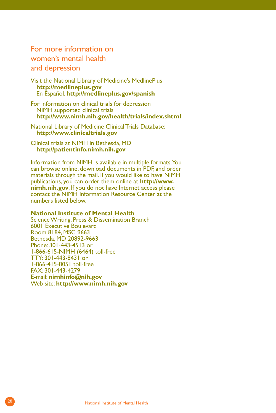# For more information on women's mental health and depression

Visit the National Library of Medicine's MedlinePlus **http://medlineplus.gov**  En Español, **http://medlineplus.gov/spanish** 

For information on clinical trials for depression NIMH supported clinical trials **http://www.nimh.nih.gov/health/trials/index.shtml** 

National Library of Medicine Clinical Trials Database: **http://www.clinicaltrials.gov** 

Clinical trials at NIMH in Bethesda, MD **http://patientinfo.nimh.nih.gov** 

Information from NIMH is available in multiple formats.You can browse online, download documents in PDF, and order materials through the mail. If you would like to have NIMH publications, you can order them online at **http://www. nimh.nih.gov**. If you do not have Internet access please contact the NIMH Information Resource Center at the numbers listed below.

#### **National Institute of Mental Health**

Science Writing, Press & Dissemination Branch 6001 Executive Boulevard Room 8184, MSC 9663 Bethesda, MD 20892-9663 Phone: 301-443-4513 or 1-866-615-NIMH (6464) toll-free TTY: 301-443-8431 or 1-866-415-8051 toll-free FAX: 301-443-4279 E-mail: **nimhinfo@nih.gov**  Web site: **http://www.nimh.nih.gov**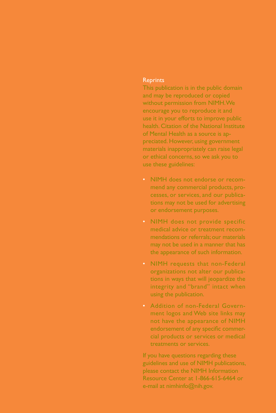#### **Reprints**

This publication is in the public domain and may be reproduced or copied without permission from NIMH.We encourage you to reproduce it and use it in your efforts to improve public health. Citation of the National Institute of Mental Health as a source is appreciated. However, using government materials inappropriately can raise legal or ethical concerns, so we ask you to use these guidelines:

- NIMH does not endorse or recommend any commercial products, processes, or services, and our publications may not be used for advertising or endorsement purposes.
- NIMH does not provide specific medical advice or treatment recommendations or referrals; our materials may not be used in a manner that has the appearance of such information.
- NIMH requests that non-Federal organizations not alter our publications in ways that will jeopardize the integrity and "brand" intact when using the publication.
- Addition of non-Federal Government logos and Web site links may not have the appearance of NIMH endorsement of any specific commercial products or services or medical treatments or services.

If you have questions regarding these guidelines and use of NIMH publications, please contact the NIMH Information Resource Center at 1-866-615-6464 or e-mail at nimhinfo@nih.gov.